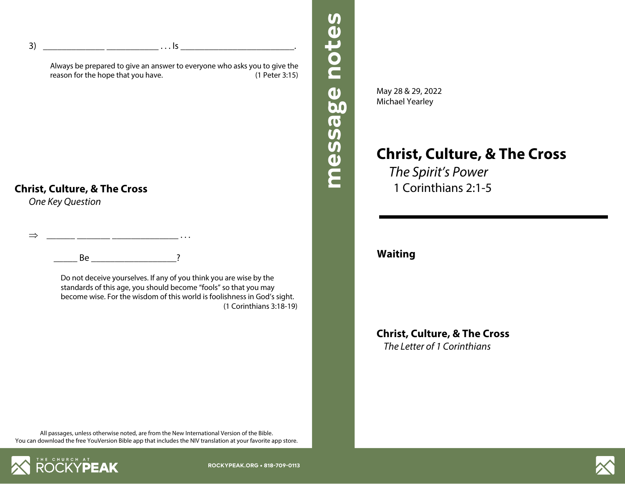3) \_\_\_\_\_\_\_\_\_\_\_\_\_ \_\_\_\_\_\_\_\_\_\_\_ . . . Is \_\_\_\_\_\_\_\_\_\_\_\_\_\_\_\_\_\_\_\_\_\_\_\_.

Always be prepared to give an answer to everyone who asks you to give the reason for the hope that you have. (1 Peter 3:15)

### **Christ, Culture, & The Cross**

*One Key Question*

## $\Rightarrow$  ...

 $Be$   $2$ 

Do not deceive yourselves. If any of you think you are wise by the standards of this age, you should become "fools" so that you may become wise. For the wisdom of this world is foolishness in God's sight. (1 Corinthians 3:18-19) May 28 & 29, 2022 Michael Yearley

**message notes message notes**

message notes

# **Christ, Culture, & The Cross**

*The Spirit's Power* 1 Corinthians 2:1-5

**Waiting**

**Christ, Culture, & The Cross** *The Letter of 1 Corinthians*

All passages, unless otherwise noted, are from the New International Version of the Bible. You can download the free YouVersion Bible app that includes the NIV translation at your favorite app store.